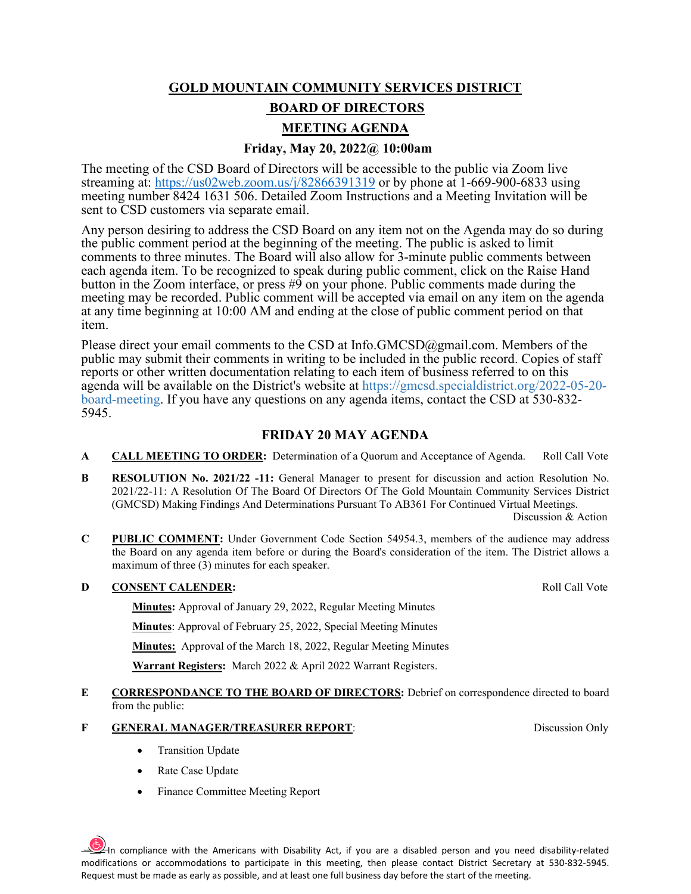## **GOLD MOUNTAIN COMMUNITY SERVICES DISTRICT**

# **BOARD OF DIRECTORS**

# **MEETING AGENDA**

# **Friday, May 20, 2022@ 10:00am**

The meeting of the CSD Board of Directors will be accessible to the public via Zoom live streaming at:<https://us02web.zoom.us/j/82866391319>or by phone at 1-669-900-6833 using meeting number 8424 1631 506. Detailed Zoom Instructions and a Meeting Invitation will be sent to CSD customers via separate email.

Any person desiring to address the CSD Board on any item not on the Agenda may do so during the public comment period at the beginning of the meeting. The public is asked to limit comments to three minutes. The Board will also allow for 3-minute public comments between each agenda item. To be recognized to speak during public comment, click on the Raise Hand button in the Zoom interface, or press #9 on your phone. Public comments made during the meeting may be recorded. Public comment will be accepted via email on any item on the agenda at any time beginning at 10:00 AM and ending at the close of public comment period on that item.

Please direct your email comments to the CSD at Info.GMCSD@gmail.com. Members of the public may submit their comments in writing to be included in the public record. Copies of staff reports or other written documentation relating to each item of business referred to on this agenda will be available on the District's website at https://gmcsd.specialdistrict.org/2022-05-20 board-meeting. If you have any questions on any agenda items, contact the CSD at 530-832- 5945.

## **FRIDAY 20 MAY AGENDA**

- **A CALL MEETING TO ORDER:** Determination of a Quorum and Acceptance of Agenda. Roll Call Vote
- **B RESOLUTION No. 2021/22 -11:** General Manager to present for discussion and action Resolution No. 2021/22-11: A Resolution Of The Board Of Directors Of The Gold Mountain Community Services District (GMCSD) Making Findings And Determinations Pursuant To AB361 For Continued Virtual Meetings.

Discussion & Action

**C PUBLIC COMMENT:** Under Government Code Section 54954.3, members of the audience may address the Board on any agenda item before or during the Board's consideration of the item. The District allows a maximum of three (3) minutes for each speaker.

## **D CONSENT CALENDER: Roll Call Vote**

**Minutes:** Approval of January 29, 2022, Regular Meeting Minutes

**Minutes**: Approval of February 25, 2022, Special Meeting Minutes

**Minutes:** Approval of the March 18, 2022, Regular Meeting Minutes

**Warrant Registers:** March 2022 & April 2022 Warrant Registers.

**E CORRESPONDANCE TO THE BOARD OF DIRECTORS:** Debrief on correspondence directed to board from the public:

### **F GENERAL MANAGER/TREASURER REPORT**: Discussion Only

- Transition Update
- Rate Case Update
- Finance Committee Meeting Report

 $\frac{p}{p}$ In compliance with the Americans with Disability Act, if you are a disabled person and you need disability-related modifications or accommodations to participate in this meeting, then please contact District Secretary at 530-832-5945. Request must be made as early as possible, and at least one full business day before the start of the meeting.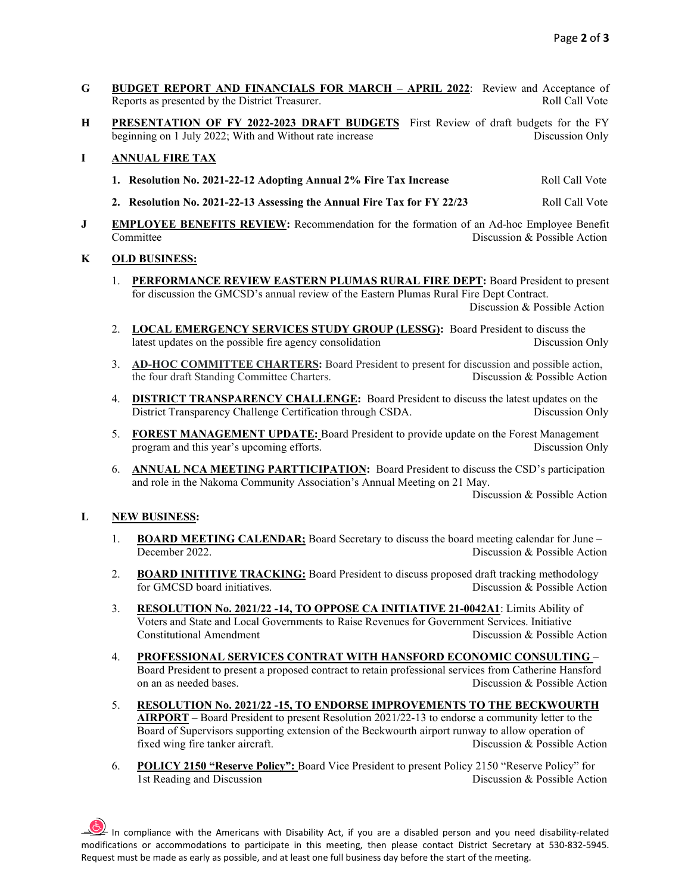- **G BUDGET REPORT AND FINANCIALS FOR MARCH APRIL 2022**: Review and Acceptance of Reports as presented by the District Treasurer. The Call Vote Roll Call Vote Roll Call Vote
- **H PRESENTATION OF FY 2022-2023 DRAFT BUDGETS** First Review of draft budgets for the FY beginning on 1 July 2022; With and Without rate increase Discussion Only

### **I ANNUAL FIRE TAX**

- **1. Resolution No. 2021-22-12 Adopting Annual 2% Fire Tax Increase** Roll Call Vote
- **2. Resolution No. 2021-22-13 Assessing the Annual Fire Tax for FY 22/23** Roll Call Vote
- **J EMPLOYEE BENEFITS REVIEW:** Recommendation for the formation of an Ad-hoc Employee Benefit<br>Committee Discussion & Possible Action Discussion & Possible Action

### **K OLD BUSINESS:**

- 1. **PERFORMANCE REVIEW EASTERN PLUMAS RURAL FIRE DEPT:** Board President to present for discussion the GMCSD's annual review of the Eastern Plumas Rural Fire Dept Contract.Discussion & Possible Action
- 2. **LOCAL EMERGENCY SERVICES STUDY GROUP (LESSG):** Board President to discuss the latest updates on the possible fire agency consolidation and Discussion Only
- 3. **AD-HOC COMMITTEE CHARTERS:** Board President to present for discussion and possible action, the four draft Standing Committee Charters. Discussion & Possible Action
- 4. **DISTRICT TRANSPARENCY CHALLENGE:** Board President to discuss the latest updates on the District Transparency Challenge Certification through CSDA. Discussion Only
- 5. **FOREST MANAGEMENT UPDATE:** Board President to provide update on the Forest Management program and this year's upcoming efforts. Discussion Only
- 6. **ANNUAL NCA MEETING PARTTICIPATION:** Board President to discuss the CSD's participation and role in the Nakoma Community Association's Annual Meeting on 21 May.

Discussion & Possible Action

### **L NEW BUSINESS:**

- 1. **BOARD MEETING CALENDAR**; Board Secretary to discuss the board meeting calendar for June –<br>Discussion & Possible Action Discussion & Possible Action
- 2. **BOARD INITITIVE TRACKING:** Board President to discuss proposed draft tracking methodology for GMCSD board initiatives. Discussion & Possible Action
- 3. **RESOLUTION No. 2021/22 -14, TO OPPOSE CA INITIATIVE 21-0042A1**: Limits Ability of Voters and State and Local Governments to Raise Revenues for Government Services. Initiative Constitutional Amendment Discussion & Possible Action
- 4. **PROFESSIONAL SERVICES CONTRAT WITH HANSFORD ECONOMIC CONSULTING**  Board President to present a proposed contract to retain professional services from Catherine Hansford on an as needed bases. The contract of the possible Action of the Possible Action
- 5. **RESOLUTION No. 2021/22 -15, TO ENDORSE IMPROVEMENTS TO THE BECKWOURTH AIRPORT** – Board President to present Resolution 2021/22-13 to endorse a community letter to the Board of Supervisors supporting extension of the Beckwourth airport runway to allow operation of fixed wing fire tanker aircraft. Discussion & Possible Action
- 6. **POLICY 2150 "Reserve Policy":** Board Vice President to present Policy 2150 "Reserve Policy" for 1st Reading and Discussion

 $\frac{1}{2}$  In compliance with the Americans with Disability Act, if you are a disabled person and you need disability-related modifications or accommodations to participate in this meeting, then please contact District Secretary at 530-832-5945. Request must be made as early as possible, and at least one full business day before the start of the meeting.